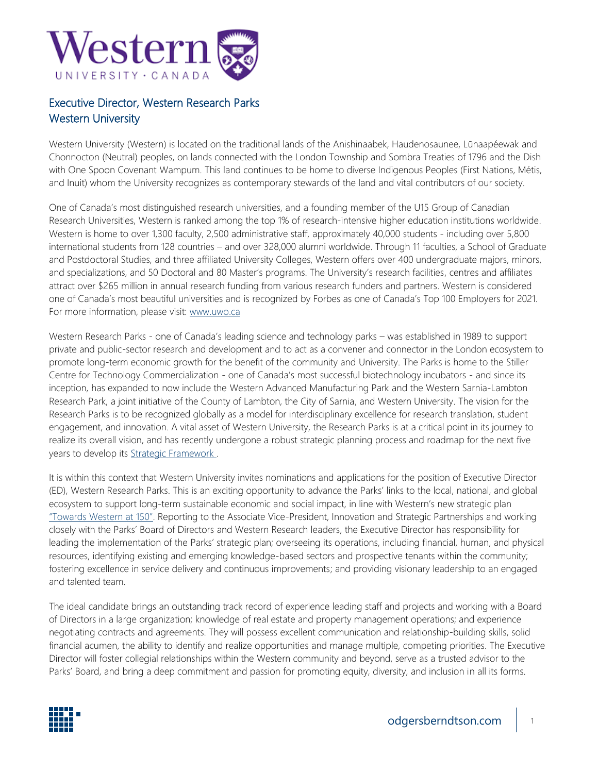

## Executive Director, Western Research Parks Western University

Western University (Western) is located on the traditional lands of the Anishinaabek, Haudenosaunee, Lūnaapéewak and Chonnocton (Neutral) peoples, on lands connected with the London Township and Sombra Treaties of 1796 and the Dish with One Spoon Covenant Wampum. This land continues to be home to diverse Indigenous Peoples (First Nations, Métis, and Inuit) whom the University recognizes as contemporary stewards of the land and vital contributors of our society.

One of Canada's most distinguished research universities, and a founding member of the U15 Group of Canadian Research Universities, Western is ranked among the top 1% of research-intensive higher education institutions worldwide. Western is home to over 1,300 faculty, 2,500 administrative staff, approximately 40,000 students - including over 5,800 international students from 128 countries – and over 328,000 alumni worldwide. Through 11 faculties, a School of Graduate and Postdoctoral Studies, and three affiliated University Colleges, Western offers over 400 undergraduate majors, minors, and specializations, and 50 Doctoral and 80 Master's programs. The University's research facilities, centres and affiliates attract over \$265 million in annual research funding from various research funders and partners. Western is considered one of Canada's most beautiful universities and is recognized by Forbes as one of Canada's Top 100 Employers for 2021. For more information, please visit: [www.uwo.ca](http://www.uwo.ca/)

Western Research Parks - one of Canada's leading science and technology parks – was established in 1989 to support private and public-sector research and development and to act as a convener and connector in the London ecosystem to promote long-term economic growth for the benefit of the community and University. The Parks is home to the Stiller Centre for Technology Commercialization - one of Canada's most successful biotechnology incubators - and since its inception, has expanded to now include the Western Advanced Manufacturing Park and the Western Sarnia-Lambton Research Park, a joint initiative of the County of Lambton, the City of Sarnia, and Western University. The vision for the Research Parks is to be recognized globally as a model for interdisciplinary excellence for research translation, student engagement, and innovation. A vital asset of Western University, the Research Parks is at a critical point in its journey to realize its overall vision, and has recently undergone a robust strategic planning process and roadmap for the next five years to develop its [Strategic Framework .](https://www.odgersberndtson.com/media/11217/western_keyhighlights.pdf)

It is within this context that Western University invites nominations and applications for the position of Executive Director (ED), Western Research Parks. This is an exciting opportunity to advance the Parks' links to the local, national, and global ecosystem to support long-term sustainable economic and social impact, in line with Western's new strategic plan "Towards [Western at](https://strategicplan.uwo.ca/pdf/Western-Strategic-Report.pdf) 150". Reporting to the Associate Vice-President, Innovation and Strategic Partnerships and working closely with the Parks' Board of Directors and Western Research leaders, the Executive Director has responsibility for leading the implementation of the Parks' strategic plan; overseeing its operations, including financial, human, and physical resources, identifying existing and emerging knowledge-based sectors and prospective tenants within the community; fostering excellence in service delivery and continuous improvements; and providing visionary leadership to an engaged and talented team.

The ideal candidate brings an outstanding track record of experience leading staff and projects and working with a Board of Directors in a large organization; knowledge of real estate and property management operations; and experience negotiating contracts and agreements. They will possess excellent communication and relationship-building skills, solid financial acumen, the ability to identify and realize opportunities and manage multiple, competing priorities. The Executive Director will foster collegial relationships within the Western community and beyond, serve as a trusted advisor to the Parks' Board, and bring a deep commitment and passion for promoting equity, diversity, and inclusion in all its forms.